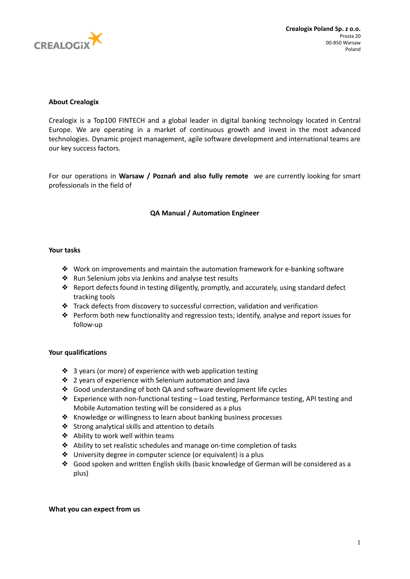

## **About Crealogix**

Crealogix is a Top100 FINTECH and a global leader in digital banking technology located in Central Europe. We are operating in a market of continuous growth and invest in the most advanced technologies. Dynamic project management, agile software development and international teams are our key success factors.

For our operations in **Warsaw / Poznań and also fully remote** we are currently looking for smart professionals in the field of

# **QA Manual / Automation Engineer**

## **Your tasks**

- ❖ Work on improvements and maintain the automation framework for e-banking software
- ❖ Run Selenium jobs via Jenkins and analyse test results
- ❖ Report defects found in testing diligently, promptly, and accurately, using standard defect tracking tools
- ❖ Track defects from discovery to successful correction, validation and verification
- ❖ Perform both new functionality and regression tests; identify, analyse and report issues for follow-up

### **Your qualifications**

- ❖ 3 years (or more) of experience with web application testing
- ❖ 2 years of experience with Selenium automation and Java
- ❖ Good understanding of both QA and software development life cycles
- ❖ Experience with non-functional testing Load testing, Performance testing, API testing and Mobile Automation testing will be considered as a plus
- ❖ Knowledge or willingness to learn about banking business processes
- ❖ Strong analytical skills and attention to details
- ❖ Ability to work well within teams
- ❖ Ability to set realistic schedules and manage on-time completion of tasks
- ❖ University degree in computer science (or equivalent) is a plus
- ❖ Good spoken and written English skills (basic knowledge of German will be considered as a plus)

### **What you can expect from us**